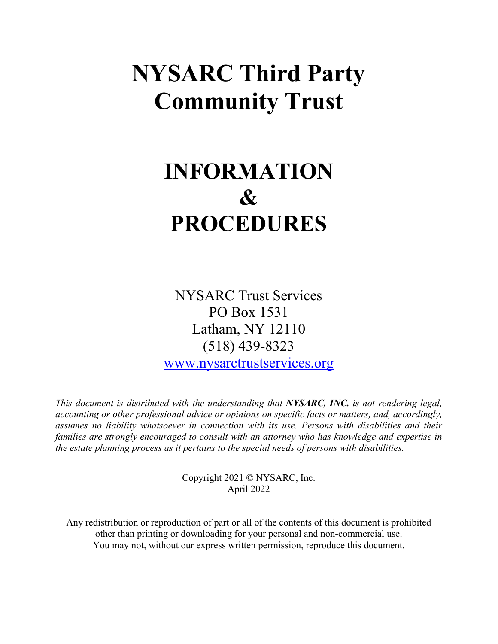# **NYSARC Third Party Community Trust**

# **INFORMATION & PROCEDURES**

NYSARC Trust Services PO Box 1531 Latham, NY 12110 (518) 439-8323

[www.nysarctrustservices.org](http://www.nysarctrustservices.org/)

*This document is distributed with the understanding that NYSARC, INC. is not rendering legal, accounting or other professional advice or opinions on specific facts or matters, and, accordingly, assumes no liability whatsoever in connection with its use. Persons with disabilities and their families are strongly encouraged to consult with an attorney who has knowledge and expertise in the estate planning process as it pertains to the special needs of persons with disabilities.* 

> Copyright 2021 © NYSARC, Inc. April 2022

Any redistribution or reproduction of part or all of the contents of this document is prohibited other than printing or downloading for your personal and non-commercial use. You may not, without our express written permission, reproduce this document.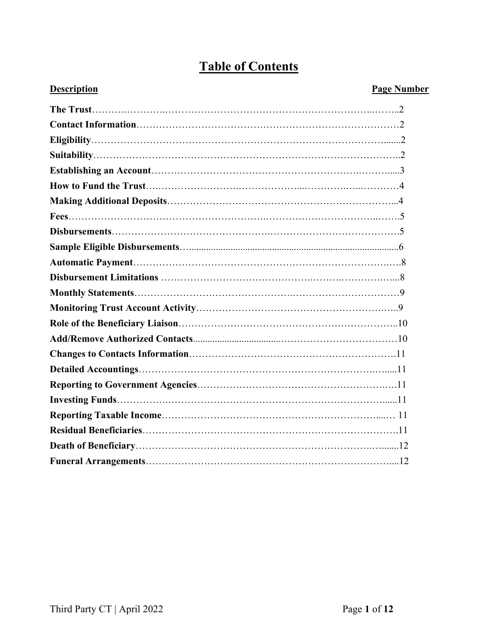## **Table of Contents**

### **Description** Page Number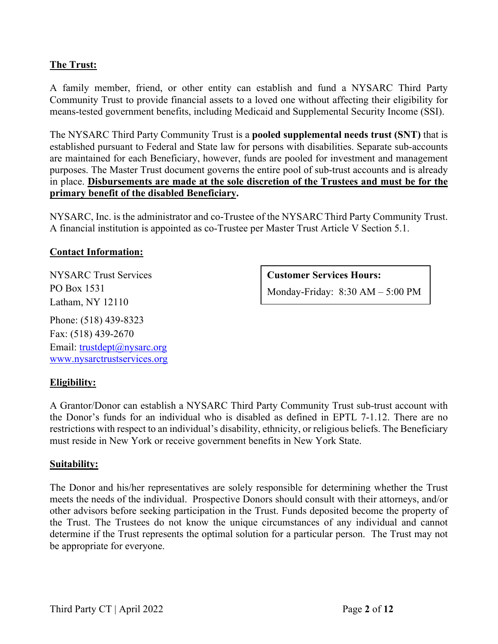### **The Trust:**

A family member, friend, or other entity can establish and fund a NYSARC Third Party Community Trust to provide financial assets to a loved one without affecting their eligibility for means-tested government benefits, including Medicaid and Supplemental Security Income (SSI).

The NYSARC Third Party Community Trust is a **pooled supplemental needs trust (SNT)** that is established pursuant to Federal and State law for persons with disabilities. Separate sub-accounts are maintained for each Beneficiary, however, funds are pooled for investment and management purposes. The Master Trust document governs the entire pool of sub-trust accounts and is already in place. **Disbursements are made at the sole discretion of the Trustees and must be for the primary benefit of the disabled Beneficiary.** 

NYSARC, Inc. is the administrator and co-Trustee of the NYSARCThird Party Community Trust. A financial institution is appointed as co-Trustee per Master Trust Article V Section 5.1.

#### **Contact Information:**

NYSARC Trust Services PO Box 1531 Latham, NY 12110

Phone: (518) 439-8323 Fax: (518) 439-2670 Email: [trustdept@nysarc.org](mailto:trustdept@nysarc.org) [www.nysarctrustservices.org](http://www.nysarctrustservices.org/) **Customer Services Hours:**

Monday-Friday: 8:30 AM – 5:00 PM

### **Eligibility:**

A Grantor/Donor can establish a NYSARC Third Party Community Trust sub-trust account with the Donor's funds for an individual who is disabled as defined in EPTL 7-1.12. There are no restrictions with respect to an individual's disability, ethnicity, or religious beliefs. The Beneficiary must reside in New York or receive government benefits in New York State.

#### **Suitability:**

The Donor and his/her representatives are solely responsible for determining whether the Trust meets the needs of the individual. Prospective Donors should consult with their attorneys, and/or other advisors before seeking participation in the Trust. Funds deposited become the property of the Trust. The Trustees do not know the unique circumstances of any individual and cannot determine if the Trust represents the optimal solution for a particular person. The Trust may not be appropriate for everyone.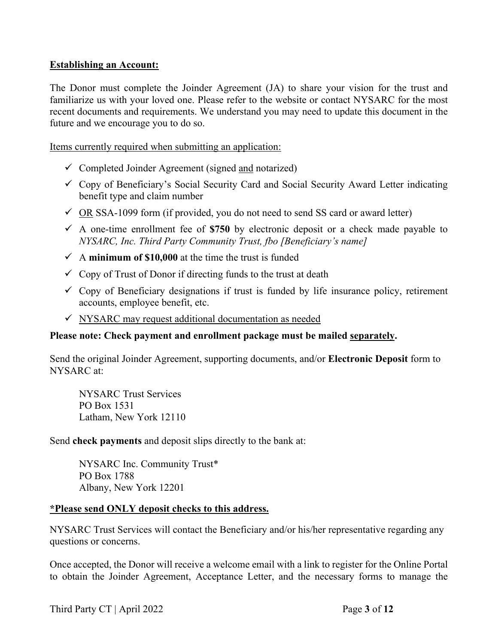#### **Establishing an Account:**

The Donor must complete the Joinder Agreement (JA) to share your vision for the trust and familiarize us with your loved one. Please refer to the website or contact NYSARC for the most recent documents and requirements. We understand you may need to update this document in the future and we encourage you to do so.

Items currently required when submitting an application:

- $\checkmark$  Completed Joinder Agreement (signed and notarized)
- $\checkmark$  Copy of Beneficiary's Social Security Card and Social Security Award Letter indicating benefit type and claim number
- $\checkmark$  OR SSA-1099 form (if provided, you do not need to send SS card or award letter)
- $\checkmark$  A one-time enrollment fee of \$750 by electronic deposit or a check made payable to *NYSARC, Inc. Third Party Community Trust, fbo [Beneficiary's name]*
- $\checkmark$  A **minimum of \$10,000** at the time the trust is funded
- $\checkmark$  Copy of Trust of Donor if directing funds to the trust at death
- $\checkmark$  Copy of Beneficiary designations if trust is funded by life insurance policy, retirement accounts, employee benefit, etc.
- $\checkmark$  NYSARC may request additional documentation as needed

#### **Please note: Check payment and enrollment package must be mailed separately.**

Send the original Joinder Agreement, supporting documents, and/or **Electronic Deposit** form to NYSARC at:

NYSARC Trust Services PO Box 1531 Latham, New York 12110

Send **check payments** and deposit slips directly to the bank at:

NYSARC Inc. Community Trust\* PO Box 1788 Albany, New York 12201

#### **\*Please send ONLY deposit checks to this address.**

NYSARC Trust Services will contact the Beneficiary and/or his/her representative regarding any questions or concerns.

Once accepted, the Donor will receive a welcome email with a link to register for the Online Portal to obtain the Joinder Agreement, Acceptance Letter, and the necessary forms to manage the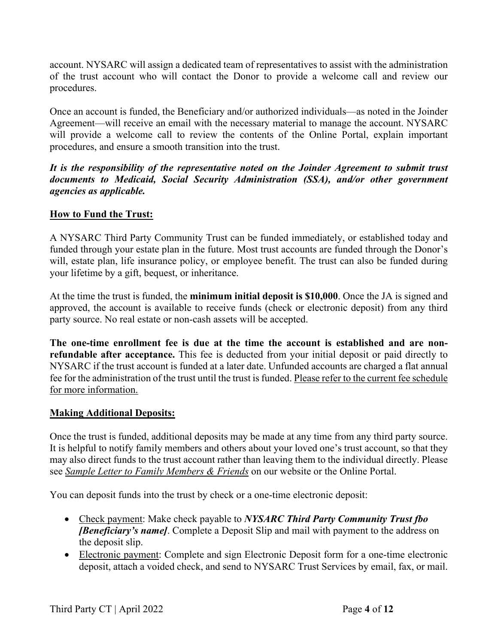account. NYSARC will assign a dedicated team of representatives to assist with the administration of the trust account who will contact the Donor to provide a welcome call and review our procedures.

Once an account is funded, the Beneficiary and/or authorized individuals—as noted in the Joinder Agreement—will receive an email with the necessary material to manage the account. NYSARC will provide a welcome call to review the contents of the Online Portal, explain important procedures, and ensure a smooth transition into the trust.

*It is the responsibility of the representative noted on the Joinder Agreement to submit trust documents to Medicaid, Social Security Administration (SSA), and/or other government agencies as applicable.* 

### **How to Fund the Trust:**

A NYSARC Third Party Community Trust can be funded immediately, or established today and funded through your estate plan in the future. Most trust accounts are funded through the Donor's will, estate plan, life insurance policy, or employee benefit. The trust can also be funded during your lifetime by a gift, bequest, or inheritance.

At the time the trust is funded, the **minimum initial deposit is \$10,000**. Once the JA is signed and approved, the account is available to receive funds (check or electronic deposit) from any third party source. No real estate or non-cash assets will be accepted.

**The one-time enrollment fee is due at the time the account is established and are nonrefundable after acceptance.** This fee is deducted from your initial deposit or paid directly to NYSARC if the trust account is funded at a later date. Unfunded accounts are charged a flat annual fee for the administration of the trust until the trust is funded. Please refer to the current fee schedule for more information.

#### **Making Additional Deposits:**

Once the trust is funded, additional deposits may be made at any time from any third party source. It is helpful to notify family members and others about your loved one's trust account, so that they may also direct funds to the trust account rather than leaving them to the individual directly. Please see *Sample Letter to Family Members & Friends* on our website or the Online Portal.

You can deposit funds into the trust by check or a one-time electronic deposit:

- Check payment: Make check payable to *NYSARC Third Party Community Trust fbo [Beneficiary's name]*. Complete a Deposit Slip and mail with payment to the address on the deposit slip.
- Electronic payment: Complete and sign Electronic Deposit form for a one-time electronic deposit, attach a voided check, and send to NYSARC Trust Services by email, fax, or mail.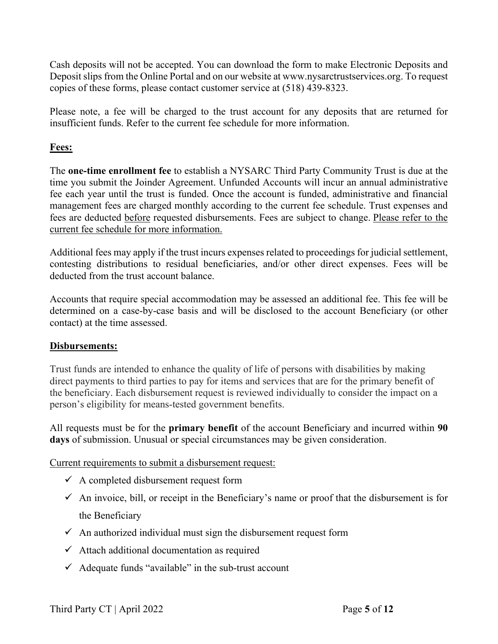Cash deposits will not be accepted. You can download the form to make Electronic Deposits and Deposit slips from the Online Portal and on our website at www.nysarctrustservices.org. To request copies of these forms, please contact customer service at (518) 439-8323.

Please note, a fee will be charged to the trust account for any deposits that are returned for insufficient funds. Refer to the current fee schedule for more information.

### **Fees:**

The **one-time enrollment fee** to establish a NYSARC Third Party Community Trust is due at the time you submit the Joinder Agreement. Unfunded Accounts will incur an annual administrative fee each year until the trust is funded. Once the account is funded, administrative and financial management fees are charged monthly according to the current fee schedule. Trust expenses and fees are deducted before requested disbursements. Fees are subject to change. Please refer to the current fee schedule for more information.

Additional fees may apply if the trust incurs expenses related to proceedings for judicial settlement, contesting distributions to residual beneficiaries, and/or other direct expenses. Fees will be deducted from the trust account balance.

Accounts that require special accommodation may be assessed an additional fee. This fee will be determined on a case-by-case basis and will be disclosed to the account Beneficiary (or other contact) at the time assessed.

### **Disbursements:**

Trust funds are intended to enhance the quality of life of persons with disabilities by making direct payments to third parties to pay for items and services that are for the primary benefit of the beneficiary. Each disbursement request is reviewed individually to consider the impact on a person's eligibility for means-tested government benefits.

All requests must be for the **primary benefit** of the account Beneficiary and incurred within **90 days** of submission. Unusual or special circumstances may be given consideration.

Current requirements to submit a disbursement request:

- $\checkmark$  A completed disbursement request form
- $\checkmark$  An invoice, bill, or receipt in the Beneficiary's name or proof that the disbursement is for the Beneficiary
- $\checkmark$  An authorized individual must sign the disbursement request form
- $\checkmark$  Attach additional documentation as required
- $\checkmark$  Adequate funds "available" in the sub-trust account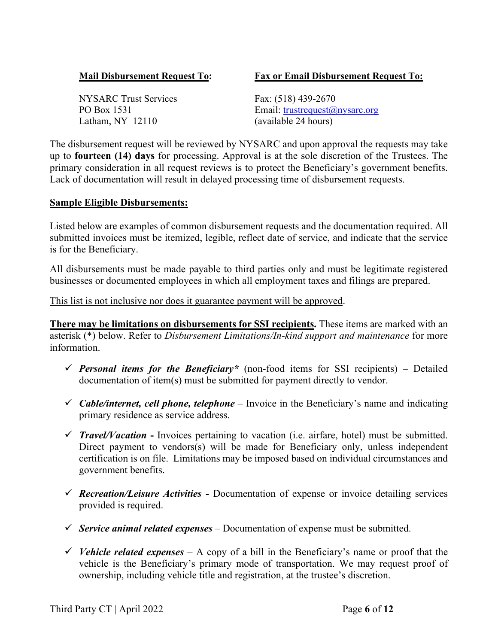#### **Mail Disbursement Request To: Fax or Email Disbursement Request To:**

NYSARC Trust Services Fax: (518) 439-2670 Latham, NY 12110 (available 24 hours)

PO Box 1531 Email: trustrequest@nysarc.org

The disbursement request will be reviewed by NYSARC and upon approval the requests may take up to **fourteen (14) days** for processing. Approval is at the sole discretion of the Trustees. The primary consideration in all request reviews is to protect the Beneficiary's government benefits. Lack of documentation will result in delayed processing time of disbursement requests.

#### **Sample Eligible Disbursements:**

Listed below are examples of common disbursement requests and the documentation required. All submitted invoices must be itemized, legible, reflect date of service, and indicate that the service is for the Beneficiary.

All disbursements must be made payable to third parties only and must be legitimate registered businesses or documented employees in which all employment taxes and filings are prepared.

This list is not inclusive nor does it guarantee payment will be approved.

**There may be limitations on disbursements for SSI recipients.** These items are marked with an asterisk (\*) below. Refer to *Disbursement Limitations/In-kind support and maintenance* for more information.

- **Personal items for the Beneficiary**\* (non-food items for SSI recipients) Detailed documentation of item(s) must be submitted for payment directly to vendor.
- $\checkmark$  Cable/internet, cell phone, telephone Invoice in the Beneficiary's name and indicating primary residence as service address.
- $\checkmark$  Travel/Vacation Invoices pertaining to vacation (i.e. airfare, hotel) must be submitted. Direct payment to vendors(s) will be made for Beneficiary only, unless independent certification is on file. Limitations may be imposed based on individual circumstances and government benefits.
- *Recreation/Leisure Activities -* Documentation of expense or invoice detailing services provided is required.
- *Service animal related expenses* Documentation of expense must be submitted.
- *V* Vehicle related expenses A copy of a bill in the Beneficiary's name or proof that the vehicle is the Beneficiary's primary mode of transportation. We may request proof of ownership, including vehicle title and registration, at the trustee's discretion.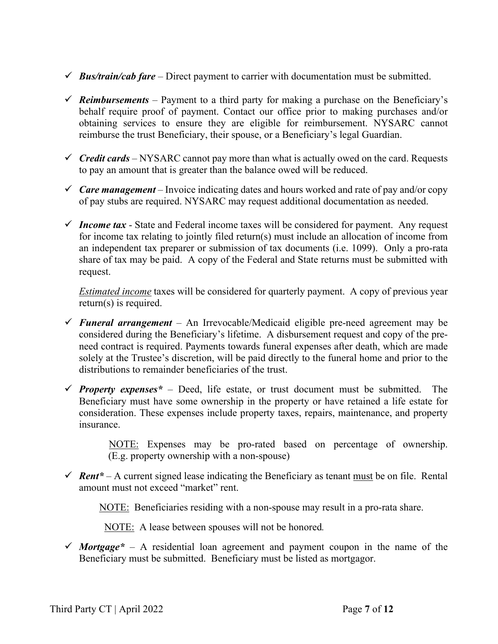- $\checkmark$  **Bus/train/cab fare** Direct payment to carrier with documentation must be submitted.
- $\checkmark$  **Reimbursements** Payment to a third party for making a purchase on the Beneficiary's behalf require proof of payment. Contact our office prior to making purchases and/or obtaining services to ensure they are eligible for reimbursement. NYSARC cannot reimburse the trust Beneficiary, their spouse, or a Beneficiary's legal Guardian.
- $\checkmark$  Credit cards NYSARC cannot pay more than what is actually owed on the card. Requests to pay an amount that is greater than the balance owed will be reduced.
- $\checkmark$  Care management Invoice indicating dates and hours worked and rate of pay and/or copy of pay stubs are required. NYSARC may request additional documentation as needed.
- $\checkmark$  Income tax State and Federal income taxes will be considered for payment. Any request for income tax relating to jointly filed return(s) must include an allocation of income from an independent tax preparer or submission of tax documents (i.e. 1099). Only a pro-rata share of tax may be paid. A copy of the Federal and State returns must be submitted with request.

*Estimated income* taxes will be considered for quarterly payment. A copy of previous year return(s) is required.

- *Funeral arrangement* An Irrevocable/Medicaid eligible pre-need agreement may be considered during the Beneficiary's lifetime. A disbursement request and copy of the preneed contract is required. Payments towards funeral expenses after death, which are made solely at the Trustee's discretion, will be paid directly to the funeral home and prior to the distributions to remainder beneficiaries of the trust.
- *Property expenses*<sup>\*</sup> Deed, life estate, or trust document must be submitted. The Beneficiary must have some ownership in the property or have retained a life estate for consideration. These expenses include property taxes, repairs, maintenance, and property insurance.

 NOTE: Expenses may be pro-rated based on percentage of ownership. (E.g. property ownership with a non-spouse)

 $\checkmark$  **Rent**\* – A current signed lease indicating the Beneficiary as tenant must be on file. Rental amount must not exceed "market" rent.

NOTE:Beneficiaries residing with a non-spouse may result in a pro-rata share.

NOTE: A lease between spouses will not be honored*.* 

*Mortgage*<sup>\*</sup> – A residential loan agreement and payment coupon in the name of the Beneficiary must be submitted. Beneficiary must be listed as mortgagor.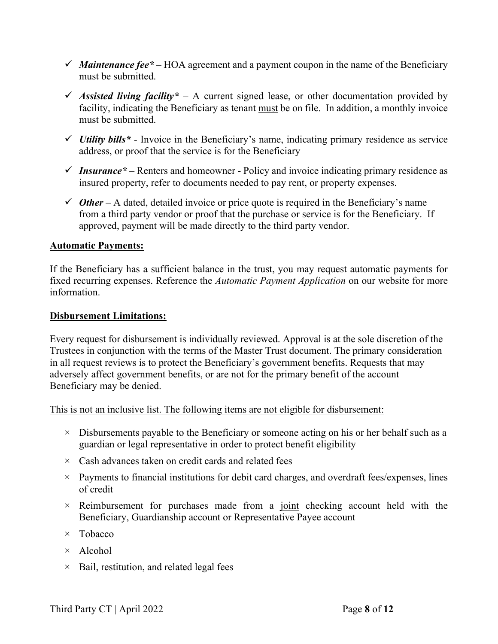- $\checkmark$  *Maintenance fee*  $*$  HOA agreement and a payment coupon in the name of the Beneficiary must be submitted.
- Assisted living facility<sup>\*</sup> A current signed lease, or other documentation provided by facility, indicating the Beneficiary as tenant must be on file. In addition, a monthly invoice must be submitted.
- $\checkmark$  *Utility bills*<sup>\*</sup> Invoice in the Beneficiary's name, indicating primary residence as service address, or proof that the service is for the Beneficiary
- $\checkmark$  Insurance<sup>\*</sup> Renters and homeowner Policy and invoice indicating primary residence as insured property, refer to documents needed to pay rent, or property expenses.
- $\checkmark$  *Other* A dated, detailed invoice or price quote is required in the Beneficiary's name from a third party vendor or proof that the purchase or service is for the Beneficiary. If approved, payment will be made directly to the third party vendor.

#### **Automatic Payments:**

If the Beneficiary has a sufficient balance in the trust, you may request automatic payments for fixed recurring expenses. Reference the *Automatic Payment Application* on our website for more information.

#### **Disbursement Limitations:**

Every request for disbursement is individually reviewed. Approval is at the sole discretion of the Trustees in conjunction with the terms of the Master Trust document. The primary consideration in all request reviews is to protect the Beneficiary's government benefits. Requests that may adversely affect government benefits, or are not for the primary benefit of the account Beneficiary may be denied.

This is not an inclusive list. The following items are not eligible for disbursement:

- $\times$  Disbursements payable to the Beneficiary or someone acting on his or her behalf such as a guardian or legal representative in order to protect benefit eligibility
- $\times$  Cash advances taken on credit cards and related fees
- $\times$  Payments to financial institutions for debit card charges, and overdraft fees/expenses, lines of credit
- $\times$  Reimbursement for purchases made from a joint checking account held with the Beneficiary, Guardianship account or Representative Payee account
- $\times$  Tobacco
- × Alcohol
- $\times$  Bail, restitution, and related legal fees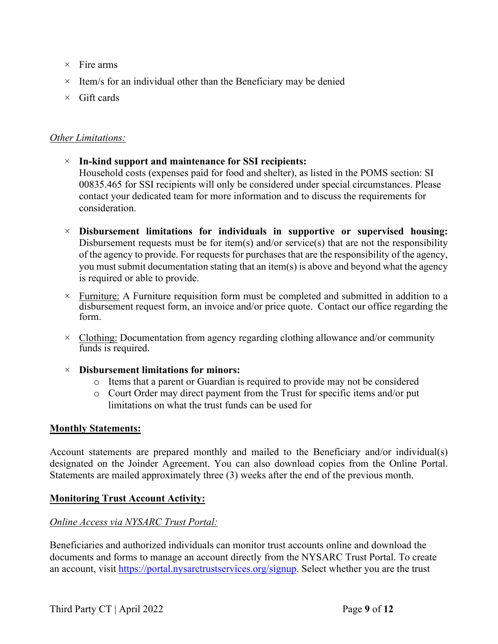- $\times$  Fire arms
- $\times$  Item/s for an individual other than the Beneficiary may be denied
- $\times$  Gift cards

#### *Other Limitations:*

- × **In-kind support and maintenance for SSI recipients:** Household costs (expenses paid for food and shelter), as listed in the POMS section: SI 00835.465 for SSI recipients will only be considered under special circumstances. Please contact your dedicated team for more information and to discuss the requirements for consideration.
- × **Disbursement limitations for individuals in supportive or supervised housing:** Disbursement requests must be for item(s) and/or service(s) that are not the responsibility of the agency to provide. For requests for purchases that are the responsibility of the agency, you must submit documentation stating that an item(s) is above and beyond what the agency is required or able to provide.
- $\times$  Furniture: A Furniture requisition form must be completed and submitted in addition to a disbursement request form, an invoice and/or price quote. Contact our office regarding the form.
- $\times$  Clothing: Documentation from agency regarding clothing allowance and/or community funds is required.

#### × **Disbursement limitations for minors:**

- o Items that a parent or Guardian is required to provide may not be considered
- o Court Order may direct payment from the Trust for specific items and/or put limitations on what the trust funds can be used for

### **Monthly Statements:**

Account statements are prepared monthly and mailed to the Beneficiary and/or individual(s) designated on the Joinder Agreement. You can also download copies from the Online Portal. Statements are mailed approximately three (3) weeks after the end of the previous month.

### **Monitoring Trust Account Activity:**

### *Online Access via NYSARC Trust Portal:*

Beneficiaries and authorized individuals can monitor trust accounts online and download the documents and forms to manage an account directly from the NYSARC Trust Portal. To create an account, visit [https://portal.nysarctrustservices.org/signup.](https://portal.nysarctrustservices.org/signup) Select whether you are the trust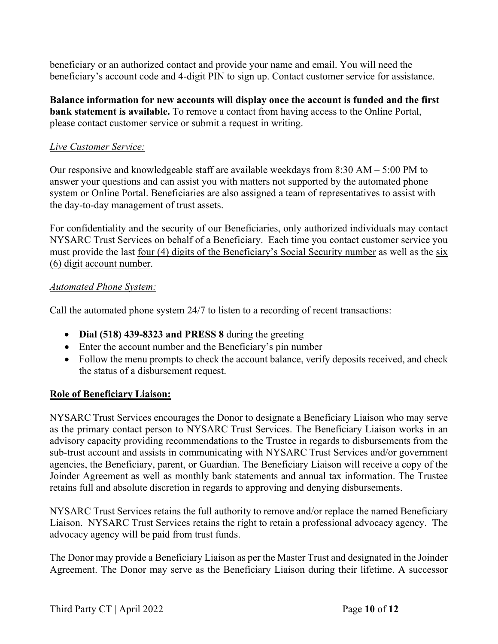beneficiary or an authorized contact and provide your name and email. You will need the beneficiary's account code and 4-digit PIN to sign up. Contact customer service for assistance.

**Balance information for new accounts will display once the account is funded and the first bank statement is available.** To remove a contact from having access to the Online Portal, please contact customer service or submit a request in writing.

#### *Live Customer Service:*

Our responsive and knowledgeable staff are available weekdays from 8:30 AM – 5:00 PM to answer your questions and can assist you with matters not supported by the automated phone system or Online Portal. Beneficiaries are also assigned a team of representatives to assist with the day-to-day management of trust assets.

For confidentiality and the security of our Beneficiaries, only authorized individuals may contact NYSARC Trust Services on behalf of a Beneficiary. Each time you contact customer service you must provide the last four (4) digits of the Beneficiary's Social Security number as well as the six (6) digit account number.

#### *Automated Phone System:*

Call the automated phone system 24/7 to listen to a recording of recent transactions:

- **Dial (518) 439-8323 and PRESS 8** during the greeting
- Enter the account number and the Beneficiary's pin number
- Follow the menu prompts to check the account balance, verify deposits received, and check the status of a disbursement request.

### **Role of Beneficiary Liaison:**

NYSARC Trust Services encourages the Donor to designate a Beneficiary Liaison who may serve as the primary contact person to NYSARC Trust Services. The Beneficiary Liaison works in an advisory capacity providing recommendations to the Trustee in regards to disbursements from the sub-trust account and assists in communicating with NYSARC Trust Services and/or government agencies, the Beneficiary, parent, or Guardian. The Beneficiary Liaison will receive a copy of the Joinder Agreement as well as monthly bank statements and annual tax information. The Trustee retains full and absolute discretion in regards to approving and denying disbursements.

NYSARC Trust Services retains the full authority to remove and/or replace the named Beneficiary Liaison. NYSARC Trust Services retains the right to retain a professional advocacy agency. The advocacy agency will be paid from trust funds.

The Donor may provide a Beneficiary Liaison as per the Master Trust and designated in the Joinder Agreement. The Donor may serve as the Beneficiary Liaison during their lifetime. A successor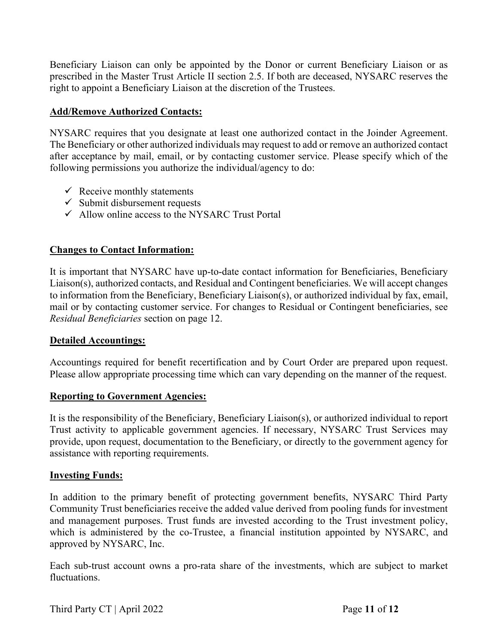Beneficiary Liaison can only be appointed by the Donor or current Beneficiary Liaison or as prescribed in the Master Trust Article II section 2.5. If both are deceased, NYSARC reserves the right to appoint a Beneficiary Liaison at the discretion of the Trustees.

#### **Add/Remove Authorized Contacts:**

NYSARC requires that you designate at least one authorized contact in the Joinder Agreement. The Beneficiary or other authorized individuals may request to add or remove an authorized contact after acceptance by mail, email, or by contacting customer service. Please specify which of the following permissions you authorize the individual/agency to do:

- $\checkmark$  Receive monthly statements
- $\checkmark$  Submit disbursement requests
- $\checkmark$  Allow online access to the NYSARC Trust Portal

#### **Changes to Contact Information:**

It is important that NYSARC have up-to-date contact information for Beneficiaries, Beneficiary Liaison(s), authorized contacts, and Residual and Contingent beneficiaries. We will accept changes to information from the Beneficiary, Beneficiary Liaison(s), or authorized individual by fax, email, mail or by contacting customer service. For changes to Residual or Contingent beneficiaries, see *Residual Beneficiaries* section on page 12.

#### **Detailed Accountings:**

Accountings required for benefit recertification and by Court Order are prepared upon request. Please allow appropriate processing time which can vary depending on the manner of the request.

#### **Reporting to Government Agencies:**

It is the responsibility of the Beneficiary, Beneficiary Liaison(s), or authorized individual to report Trust activity to applicable government agencies. If necessary, NYSARC Trust Services may provide, upon request, documentation to the Beneficiary, or directly to the government agency for assistance with reporting requirements.

#### **Investing Funds:**

In addition to the primary benefit of protecting government benefits, NYSARC Third Party Community Trust beneficiaries receive the added value derived from pooling funds for investment and management purposes. Trust funds are invested according to the Trust investment policy, which is administered by the co-Trustee, a financial institution appointed by NYSARC, and approved by NYSARC, Inc.

Each sub-trust account owns a pro-rata share of the investments, which are subject to market fluctuations.